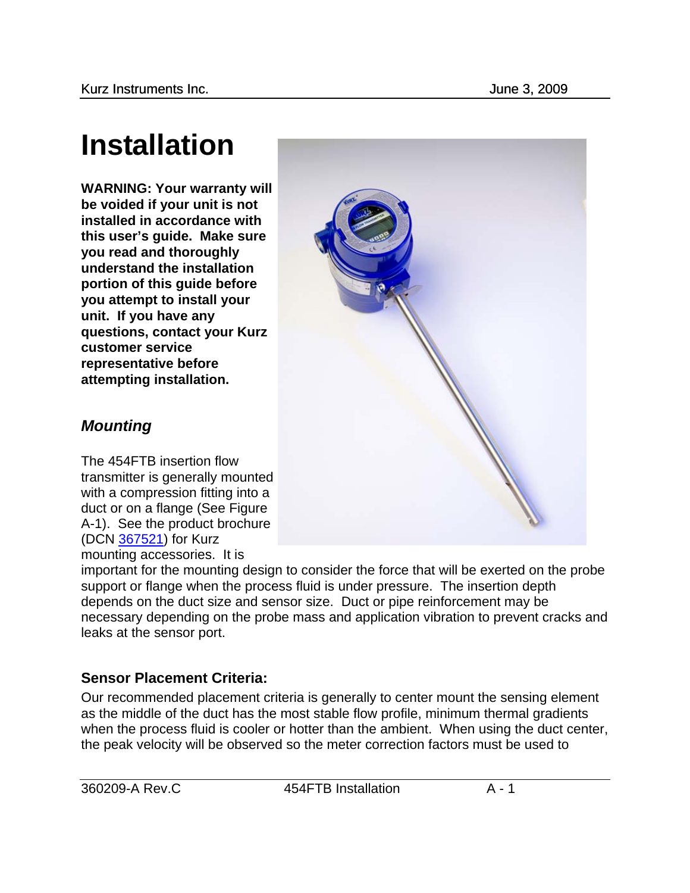# **Installation**

**WARNING: Your warranty will be voided if your unit is not installed in accordance with this user's guide. Make sure you read and thoroughly understand the installation portion of this guide before you attempt to install your unit. If you have any questions, contact your Kurz customer service representative before attempting installation.** 



## *Mounting*

The 454FTB insertion flow transmitter is generally mounted with a compression fitting into a duct or on a flange (See Figure A-1). See the product brochure (DCN 367521) for Kurz mounting accessories. It is

important for the mounting design to consider the force that will be exerted on the probe support or flange when the process fluid is under pressure. The insertion depth depends on the duct size and sensor size. Duct or pipe reinforcement may be necessary depending on the probe mass and application vibration to prevent cracks and leaks at the sensor port.

## **Sensor Placement Criteria:**

Our recommended placement criteria is generally to center mount the sensing element as the middle of the duct has the most stable flow profile, minimum thermal gradients when the process fluid is cooler or hotter than the ambient. When using the duct center, the peak velocity will be observed so the meter correction factors must be used to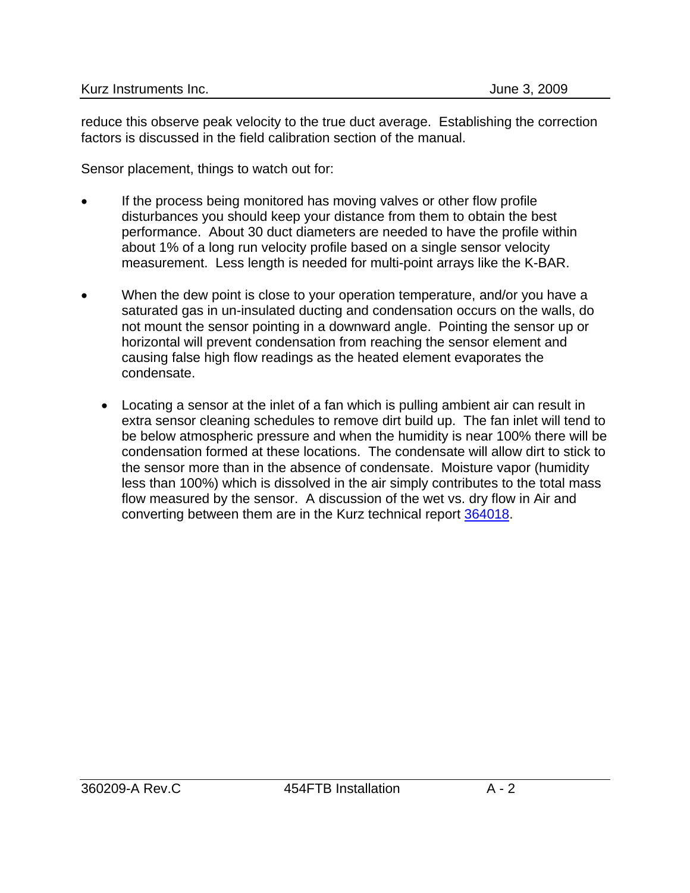reduce this observe peak velocity to the true duct average. Establishing the correction factors is discussed in the field calibration section of the manual.

Sensor placement, things to watch out for:

- If the process being monitored has moving valves or other flow profile disturbances you should keep your distance from them to obtain the best performance. About 30 duct diameters are needed to have the profile within about 1% of a long run velocity profile based on a single sensor velocity measurement. Less length is needed for multi-point arrays like the K-BAR.
- When the dew point is close to your operation temperature, and/or you have a saturated gas in un-insulated ducting and condensation occurs on the walls, do not mount the sensor pointing in a downward angle. Pointing the sensor up or horizontal will prevent condensation from reaching the sensor element and causing false high flow readings as the heated element evaporates the condensate.
	- Locating a sensor at the inlet of a fan which is pulling ambient air can result in extra sensor cleaning schedules to remove dirt build up. The fan inlet will tend to be below atmospheric pressure and when the humidity is near 100% there will be condensation formed at these locations. The condensate will allow dirt to stick to the sensor more than in the absence of condensate. Moisture vapor (humidity less than 100%) which is dissolved in the air simply contributes to the total mass flow measured by the sensor. A discussion of the wet vs. dry flow in Air and converting between them are in the Kurz technical report 364018.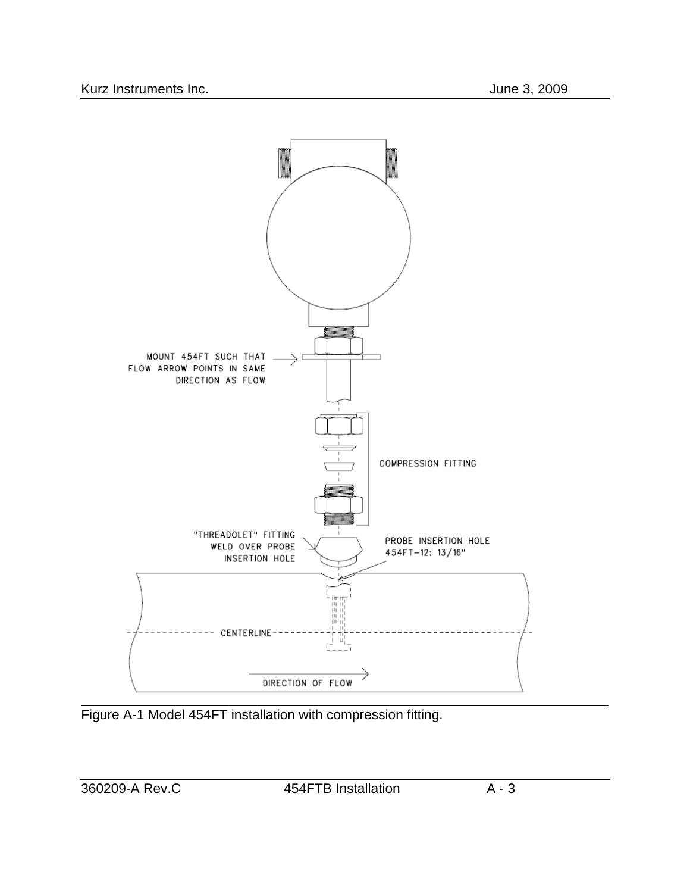

Figure A-1 Model 454FT installation with compression fitting.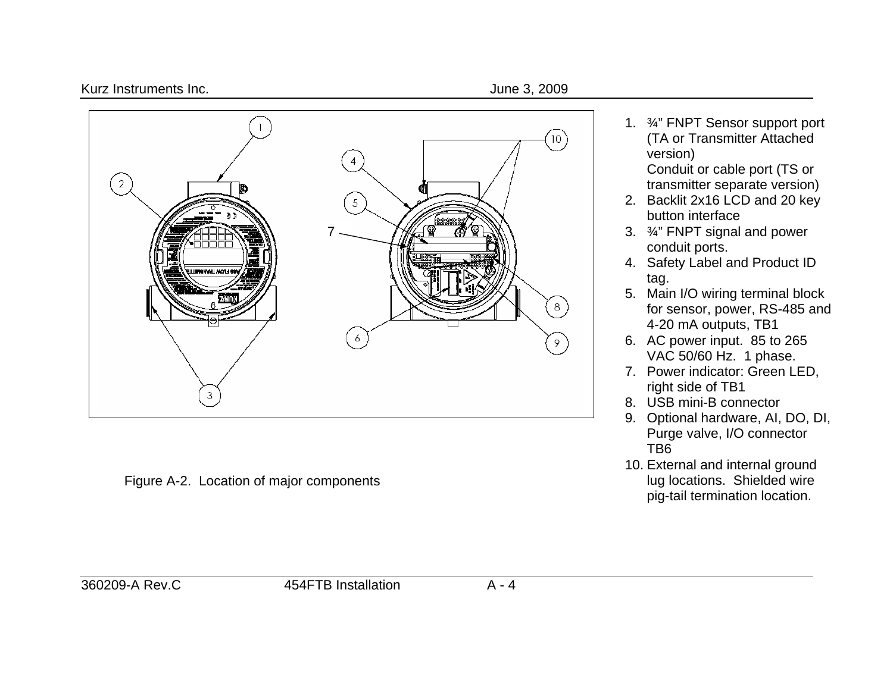#### Kurz Instruments Inc. **All and Struments Inc.** All and Struments of the Struments of the Struments of the Struments of the Struments of the Struments of the Struments of the Struments of the Struments of the Struments of t



Figure A-2. Location of major components

1. ¾" FNPT Sensor support port (TA or Transmitter Attached version)

Conduit or cable port (TS or transmitter separate version)

- 2. Backlit 2x16 LCD and 20 key button interface
- 3. ¾" FNPT signal and power conduit ports.
- 4. Safety Label and Product ID tag.
- 5. Main I/O wiring terminal block for sensor, power, RS-485 and 4-20 mA outputs, TB1
- 6. AC power input. 85 to 265 VAC 50/60 Hz. 1 phase.
- 7. Power indicator: Green LED, right side of TB1
- 8. USB mini-B connector
- 9. Optional hardware, AI, DO, DI, Purge valve, I/O connector TB6
- 10. External and internal ground lug locations. Shielded wire pig-tail termination location.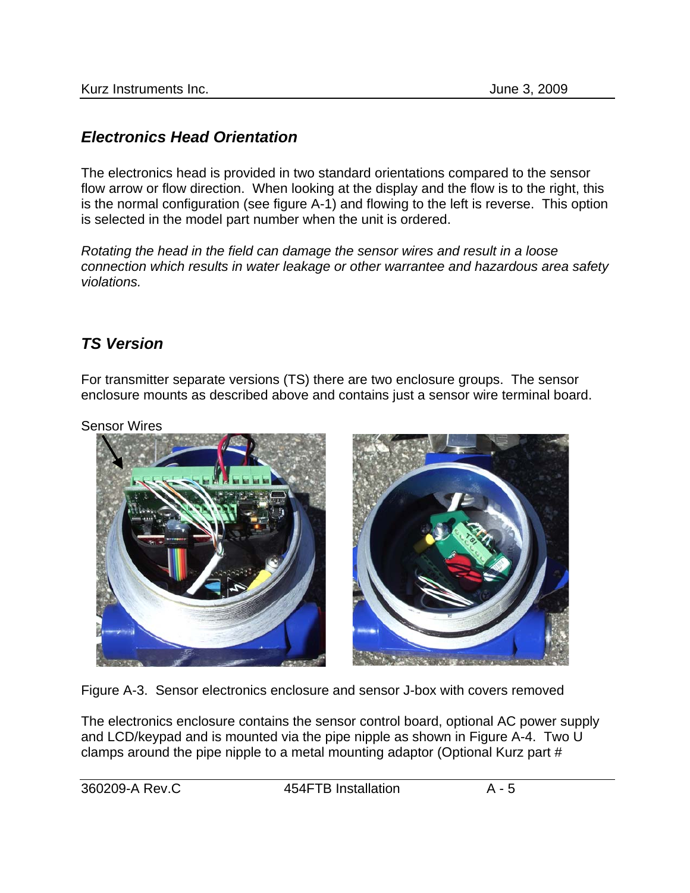#### *Electronics Head Orientation*

The electronics head is provided in two standard orientations compared to the sensor flow arrow or flow direction. When looking at the display and the flow is to the right, this is the normal configuration (see figure A-1) and flowing to the left is reverse. This option is selected in the model part number when the unit is ordered.

*Rotating the head in the field can damage the sensor wires and result in a loose connection which results in water leakage or other warrantee and hazardous area safety violations.* 

#### *TS Version*

For transmitter separate versions (TS) there are two enclosure groups. The sensor enclosure mounts as described above and contains just a sensor wire terminal board.

Sensor Wires



Figure A-3. Sensor electronics enclosure and sensor J-box with covers removed

The electronics enclosure contains the sensor control board, optional AC power supply and LCD/keypad and is mounted via the pipe nipple as shown in Figure A-4. Two U clamps around the pipe nipple to a metal mounting adaptor (Optional Kurz part #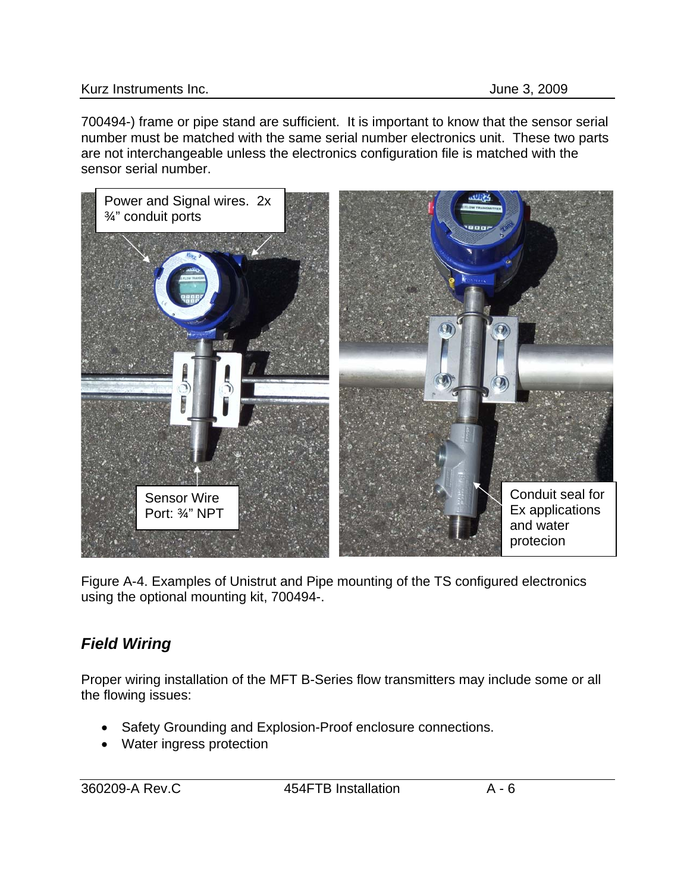#### Kurz Instruments Inc. **All and Struments Inc.** All and Struments Inc. **June 3, 2009**

700494-) frame or pipe stand are sufficient. It is important to know that the sensor serial number must be matched with the same serial number electronics unit. These two parts are not interchangeable unless the electronics configuration file is matched with the sensor serial number.



Figure A-4. Examples of Unistrut and Pipe mounting of the TS configured electronics using the optional mounting kit, 700494-.

# *Field Wiring*

Proper wiring installation of the MFT B-Series flow transmitters may include some or all the flowing issues:

- Safety Grounding and Explosion-Proof enclosure connections.
- Water ingress protection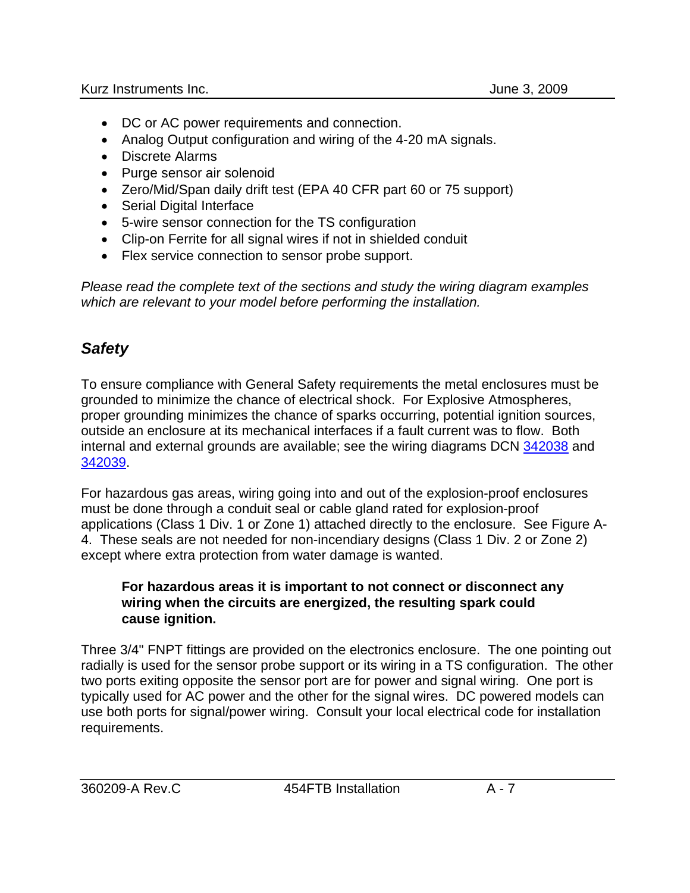- DC or AC power requirements and connection.
- Analog Output configuration and wiring of the 4-20 mA signals.
- Discrete Alarms
- Purge sensor air solenoid
- Zero/Mid/Span daily drift test (EPA 40 CFR part 60 or 75 support)
- Serial Digital Interface
- 5-wire sensor connection for the TS configuration
- Clip-on Ferrite for all signal wires if not in shielded conduit
- Flex service connection to sensor probe support.

*Please read the complete text of the sections and study the wiring diagram examples which are relevant to your model before performing the installation.*

## *Safety*

To ensure compliance with General Safety requirements the metal enclosures must be grounded to minimize the chance of electrical shock. For Explosive Atmospheres, proper grounding minimizes the chance of sparks occurring, potential ignition sources, outside an enclosure at its mechanical interfaces if a fault current was to flow. Both internal and external grounds are available; see the wiring diagrams DCN 342038 and 342039.

For hazardous gas areas, wiring going into and out of the explosion-proof enclosures must be done through a conduit seal or cable gland rated for explosion-proof applications (Class 1 Div. 1 or Zone 1) attached directly to the enclosure. See Figure A-4. These seals are not needed for non-incendiary designs (Class 1 Div. 2 or Zone 2) except where extra protection from water damage is wanted.

#### **For hazardous areas it is important to not connect or disconnect any wiring when the circuits are energized, the resulting spark could cause ignition.**

Three 3/4" FNPT fittings are provided on the electronics enclosure. The one pointing out radially is used for the sensor probe support or its wiring in a TS configuration. The other two ports exiting opposite the sensor port are for power and signal wiring. One port is typically used for AC power and the other for the signal wires. DC powered models can use both ports for signal/power wiring. Consult your local electrical code for installation requirements.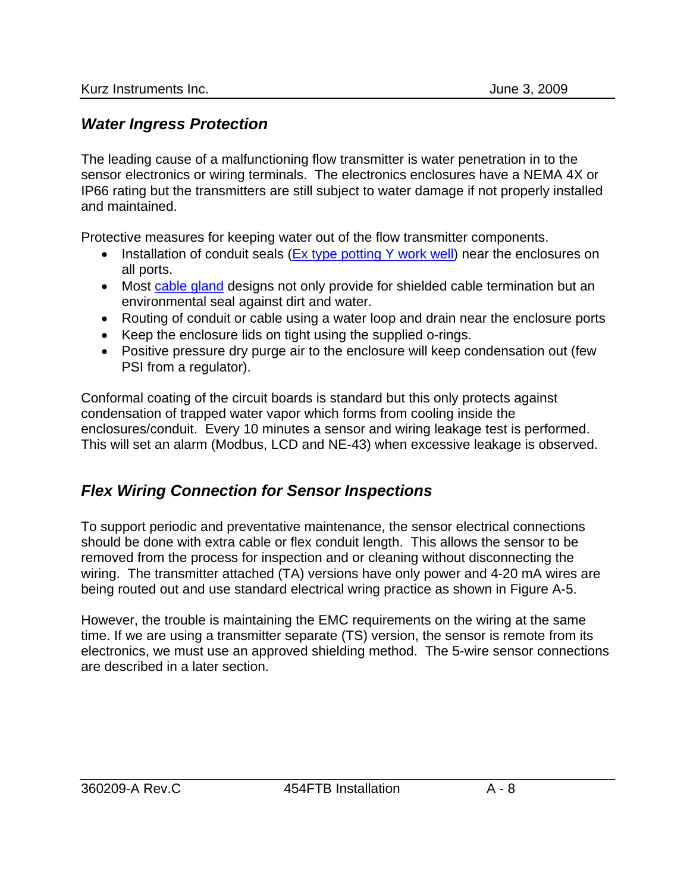#### <span id="page-7-0"></span>*Water Ingress Protection*

The leading cause of a malfunctioning flow transmitter is water penetration in to the sensor electronics or wiring terminals. The electronics enclosures have a NEMA 4X or IP66 rating but the transmitters are still subject to water damage if not properly installed and maintained.

Protective measures for keeping water out of the flow transmitter components.

- Installation of conduit seals (Ex type potting Y work well) near the enclosures on all ports.
- Most cable gland designs not only provide for shielded cable termination but an environmental seal against dirt and water.
- Routing of conduit or cable using a water loop and drain near the enclosure ports
- Keep the enclosure lids on tight using the supplied o-rings.
- Positive pressure dry purge air to the enclosure will keep condensation out (few PSI from a regulator).

Conformal coating of the circuit boards is standard but this only protects against condensation of trapped water vapor which forms from cooling inside the enclosures/conduit. Every 10 minutes a sensor and wiring leakage test is performed. This will set an alarm (Modbus, LCD and NE-43) when excessive leakage is observed.

## *Flex Wiring Connection for Sensor Inspections*

To support periodic and preventative maintenance, the sensor electrical connections should be done with extra cable or flex conduit length. This allows the sensor to be removed from the process for inspection and or cleaning without disconnecting the wiring. The transmitter attached (TA) versions have only power and 4-20 mA wires are being routed out and use standard electrical wring practice as shown in Figure A-5.

However, the trouble is maintaining the EMC requirements on the wiring at the same time. If we are using a transmitter separate (TS) version, the sensor is remote from its electronics, we must use an approved shielding method. The 5-wire sensor connections are described in a later section.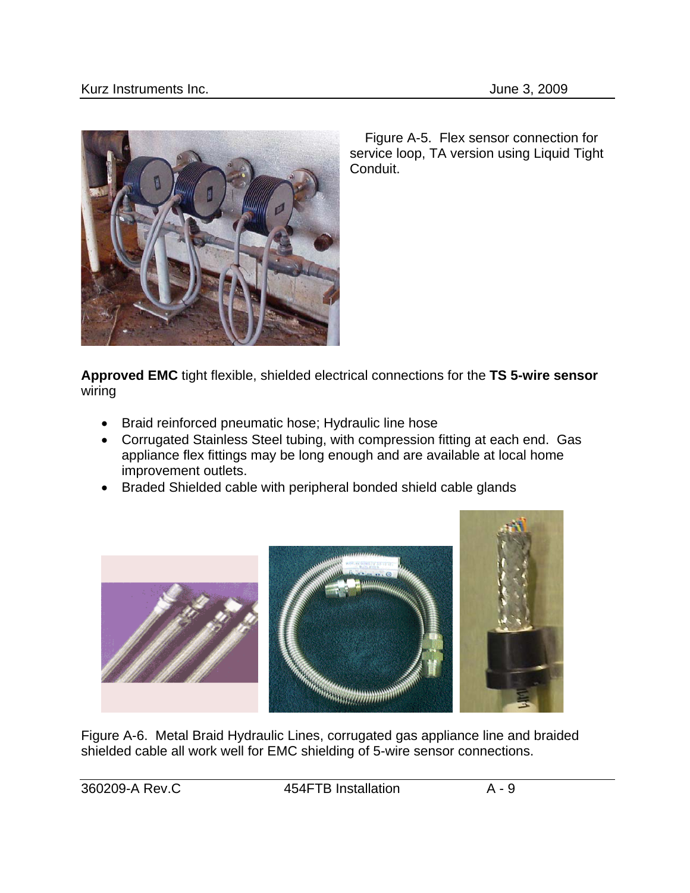

 Figure A-5. Flex sensor connection for service loop, TA version using Liquid Tight Conduit.

**Approved EMC** tight flexible, shielded electrical connections for the **TS 5-wire sensor** wiring

- Braid reinforced pneumatic hose; Hydraulic line hose
- Corrugated Stainless Steel tubing, with compression fitting at each end. Gas appliance flex fittings may be long enough and are available at local home improvement outlets.
- Braded Shielded cable with peripheral bonded shield cable glands



Figure A-6. Metal Braid Hydraulic Lines, corrugated gas appliance line and braided shielded cable all work well for EMC shielding of 5-wire sensor connections.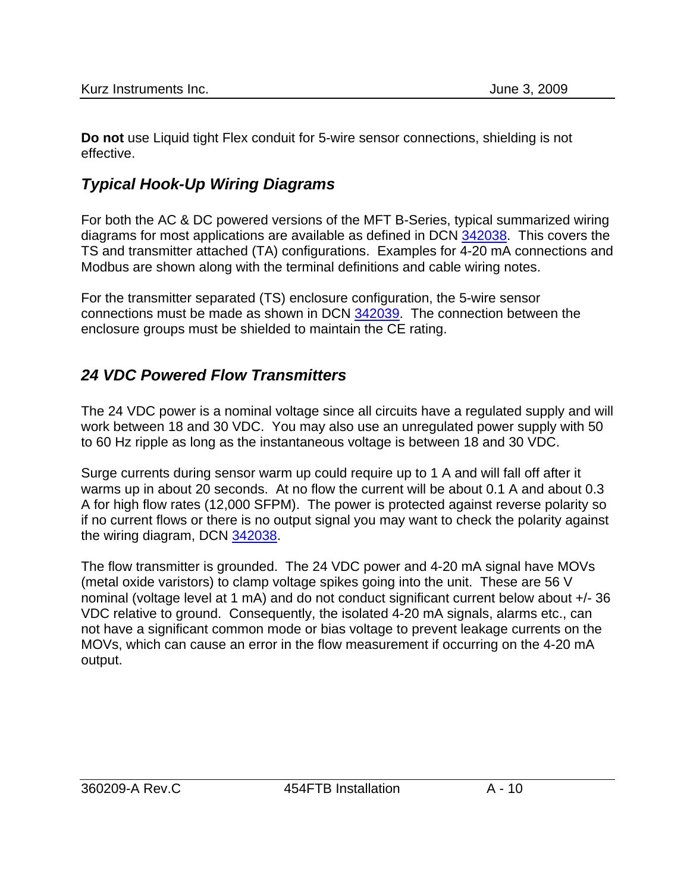**Do not** use Liquid tight Flex conduit for 5-wire sensor connections, shielding is not effective.

# *Typical Hook-Up Wiring Diagrams*

For both the AC & DC powered versions of the MFT B-Series, typical summarized wiring diagrams for most applications are available as defined in DCN 342038. This covers the TS and transmitter attached (TA) configurations. Examples for 4-20 mA connections and Modbus are shown along with the terminal definitions and cable wiring notes.

For the transmitter separated (TS) enclosure configuration, the 5-wire sensor connections must be made as shown in DCN 342039. The connection between the enclosure groups must be shielded to maintain the CE rating.

## *24 VDC Powered Flow Transmitters*

The 24 VDC power is a nominal voltage since all circuits have a regulated supply and will work between 18 and 30 VDC. You may also use an unregulated power supply with 50 to 60 Hz ripple as long as the instantaneous voltage is between 18 and 30 VDC.

Surge currents during sensor warm up could require up to 1 A and will fall off after it warms up in about 20 seconds. At no flow the current will be about 0.1 A and about 0.3 A for high flow rates (12,000 SFPM). The power is protected against reverse polarity so if no current flows or there is no output signal you may want to check the polarity against the wiring diagram, DCN 342038.

The flow transmitter is grounded. The 24 VDC power and 4-20 mA signal have MOVs (metal oxide varistors) to clamp voltage spikes going into the unit. These are 56 V nominal (voltage level at 1 mA) and do not conduct significant current below about +/- 36 VDC relative to ground. Consequently, the isolated 4-20 mA signals, alarms etc., can not have a significant common mode or bias voltage to prevent leakage currents on the MOVs, which can cause an error in the flow measurement if occurring on the 4-20 mA output.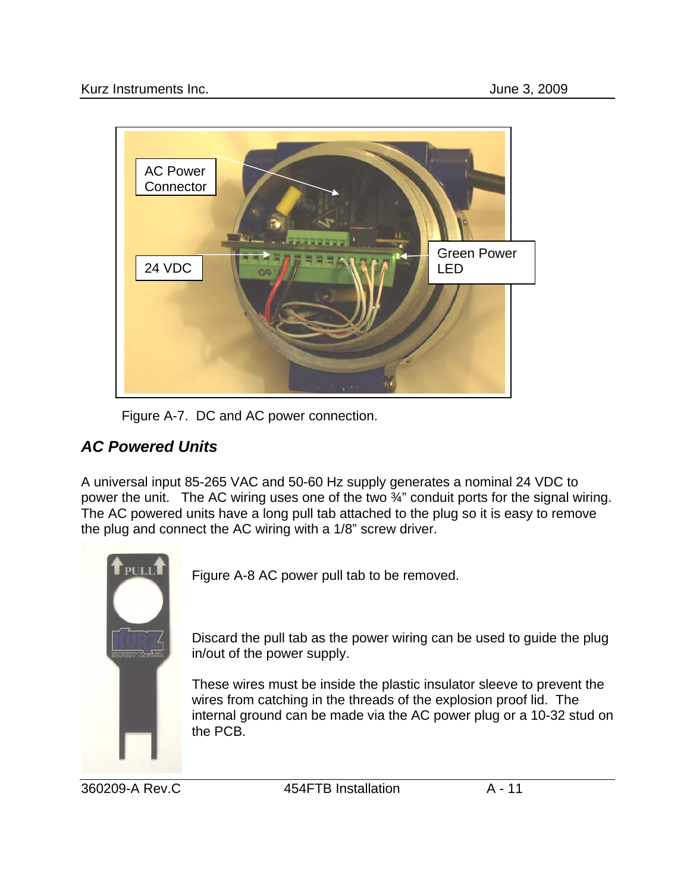

Figure A-7. DC and AC power connection.

# *AC Powered Units*

A universal input 85-265 VAC and 50-60 Hz supply generates a nominal 24 VDC to power the unit. The AC wiring uses one of the two ¾" conduit ports for the signal wiring. The AC powered units have a long pull tab attached to the plug so it is easy to remove the plug and connect the AC wiring with a 1/8" screw driver.



Figure A-8 AC power pull tab to be removed.

Discard the pull tab as the power wiring can be used to guide the plug in/out of the power supply.

These wires must be inside the plastic insulator sleeve to prevent the wires from catching in the threads of the explosion proof lid. The internal ground can be made via the AC power plug or a 10-32 stud on the PCB.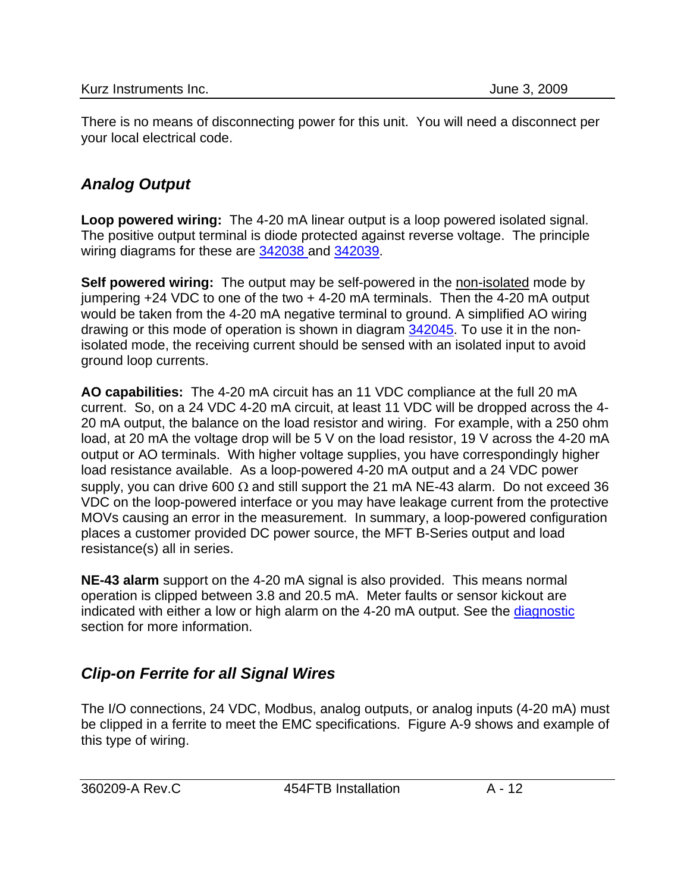There is no means of disconnecting power for this unit. You will need a disconnect per your local electrical code.

# *Analog Output*

**Loop powered wiring:** The 4-20 mA linear output is a loop powered isolated signal. The positive output terminal is diode protected against reverse voltage. The principle wiring diagrams for these are 342038 and 342039.

**Self powered wiring:** The output may be self-powered in the non-isolated mode by jumpering  $+24$  VDC to one of the two  $+4-20$  mA terminals. Then the 4-20 mA output would be taken from the 4-20 mA negative terminal to ground. A simplified AO wiring drawing or this mode of operation is shown in diagram 342045. To use it in the nonisolated mode, the receiving current should be sensed with an isolated input to avoid ground loop currents.

**AO capabilities:** The 4-20 mA circuit has an 11 VDC compliance at the full 20 mA current. So, on a 24 VDC 4-20 mA circuit, at least 11 VDC will be dropped across the 4- 20 mA output, the balance on the load resistor and wiring. For example, with a 250 ohm load, at 20 mA the voltage drop will be 5 V on the load resistor, 19 V across the 4-20 mA output or AO terminals. With higher voltage supplies, you have correspondingly higher load resistance available. As a loop-powered 4-20 mA output and a 24 VDC power supply, you can drive 600  $\Omega$  and still support the 21 mA NE-43 alarm. Do not exceed 36 VDC on the loop-powered interface or you may have leakage current from the protective MOVs causing an error in the measurement. In summary, a loop-powered configuration places a customer provided DC power source, the MFT B-Series output and load resistance(s) all in series.

**NE-43 alarm** support on the 4-20 mA signal is also provided. This means normal operation is clipped between 3.8 and 20.5 mA. Meter faults or sensor kickout are indicated with either a low or high alarm on the 4-20 mA output. See the diagnostic section for more information.

# *Clip-on Ferrite for all Signal Wires*

The I/O connections, 24 VDC, Modbus, analog outputs, or analog inputs (4-20 mA) must be clipped in a ferrite to meet the EMC specifications. Figure A-9 shows and example of this type of wiring.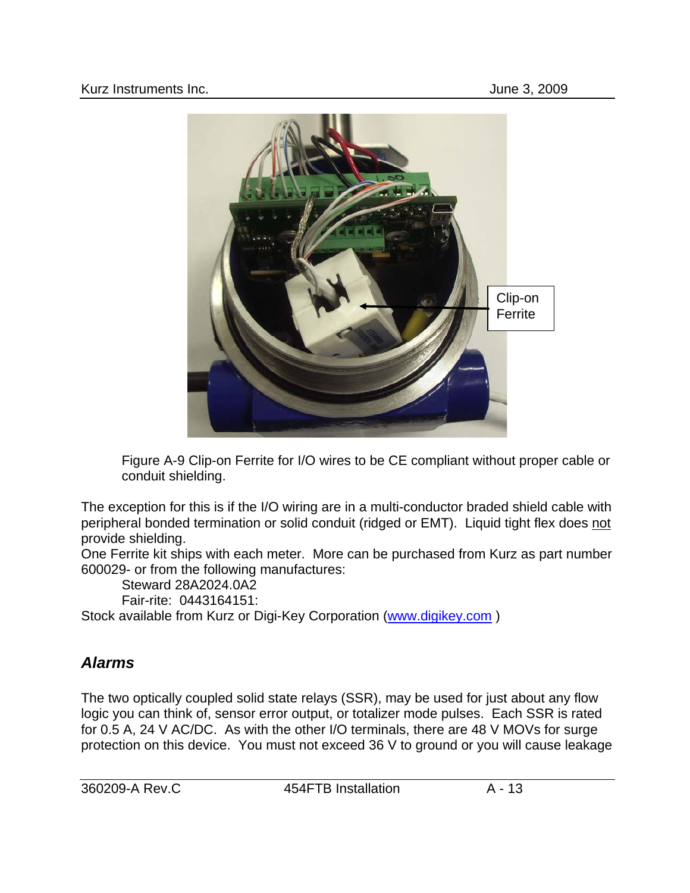

Figure A-9 Clip-on Ferrite for I/O wires to be CE compliant without proper cable or conduit shielding.

The exception for this is if the I/O wiring are in a multi-conductor braded shield cable with peripheral bonded termination or solid conduit (ridged or EMT). Liquid tight flex does not provide shielding.

One Ferrite kit ships with each meter. More can be purchased from Kurz as part number 600029- or from the following manufactures:

Steward 28A2024.0A2

Fair-rite: 0443164151:

Stock available from Kurz or Digi-Key Corporation [\(www.digikey.com](http://www.digikey.com/) )

# *Alarms*

The two optically coupled solid state relays (SSR), may be used for just about any flow logic you can think of, sensor error output, or totalizer mode pulses. Each SSR is rated for 0.5 A, 24 V AC/DC. As with the other I/O terminals, there are 48 V MOVs for surge protection on this device. You must not exceed 36 V to ground or you will cause leakage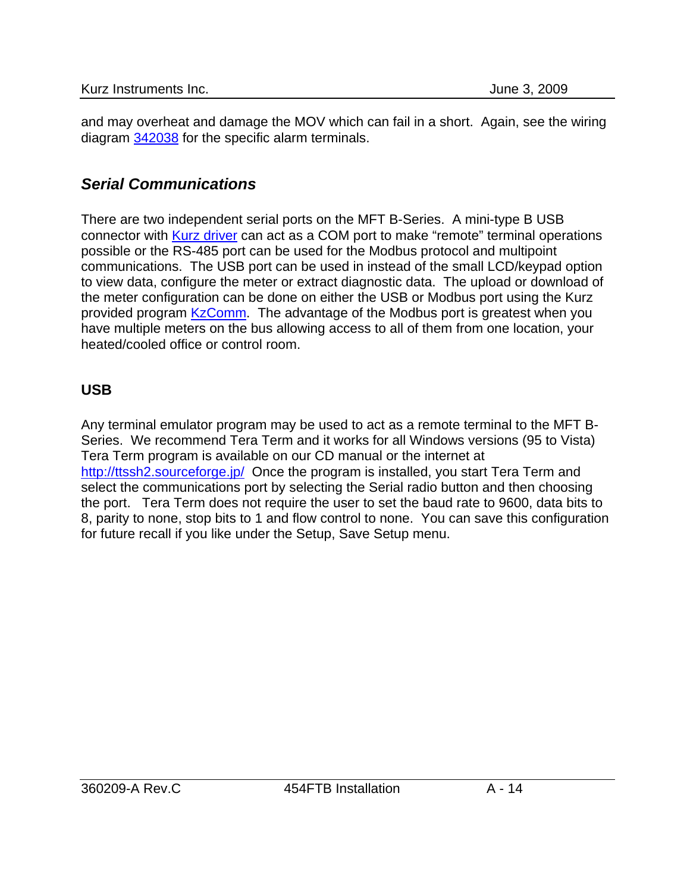and may overheat and damage the MOV which can fail in a short. Again, see the wiring diagram 342038 for the specific alarm terminals.

## *Serial Communications*

There are two independent serial ports on the MFT B-Series. A mini-type B USB connector with Kurz driver can act as a COM port to make "remote" terminal operations possible or the RS-485 port can be used for the Modbus protocol and multipoint communications. The USB port can be used in instead of the small LCD/keypad option to view data, configure the meter or extract diagnostic data. The upload or download of the meter configuration can be done on either the USB or Modbus port using the Kurz provided program KzComm. The advantage of the Modbus port is greatest when you have multiple meters on the bus allowing access to all of them from one location, your heated/cooled office or control room.

#### **USB**

Any terminal emulator program may be used to act as a remote terminal to the MFT B-Series. We recommend Tera Term and it works for all Windows versions (95 to Vista) Tera Term program is available on our CD manual or the internet at <http://ttssh2.sourceforge.jp/>Once the program is installed, you start Tera Term and select the communications port by selecting the Serial radio button and then choosing the port. Tera Term does not require the user to set the baud rate to 9600, data bits to 8, parity to none, stop bits to 1 and flow control to none. You can save this configuration for future recall if you like under the Setup, Save Setup menu.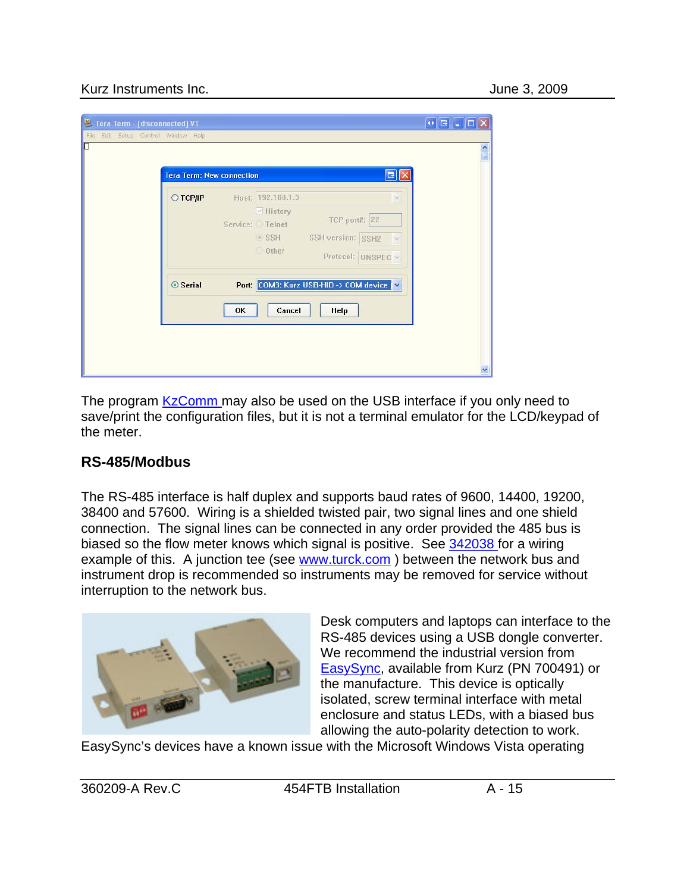#### Kurz Instruments Inc. **All and Struments Inc.** All and Struments Inc. **June 3, 2009**

| Tera Term - [disconnected] VT<br>Edit Setup Control Window Help<br>File<br>П | <b>Tera Term: New connection</b><br>$B$ $\times$                                                                                              | $\left\Vert \mathbf{0}\right\Vert$ $\left\Vert \mathbf{B}\right\Vert$ $\mathbf{L}% _{0}\left\Vert \mathbf{B}\right\Vert$<br>161<br>$\frac{1}{2}$ |
|------------------------------------------------------------------------------|-----------------------------------------------------------------------------------------------------------------------------------------------|--------------------------------------------------------------------------------------------------------------------------------------------------|
| ○ ТСР∕ІР                                                                     | Host: 192.168.1.3<br>$\sim$<br><b>√ History</b><br>TCP port#: 22<br>Service: Telnet<br>SSH SSH version: SSH2<br>O Other<br>Protocol: UNSPEC v |                                                                                                                                                  |
| ⊙ Serial                                                                     | Port: COM3: Kurz USB-HID -> COM device V<br>Cancel<br>OK<br>Help                                                                              |                                                                                                                                                  |

The program KzComm may also be used on the USB interface if you only need to save/print the configuration files, but it is not a terminal emulator for the LCD/keypad of the meter.

#### **RS-485/Modbus**

The RS-485 interface is half duplex and supports baud rates of 9600, 14400, 19200, 38400 and 57600. Wiring is a shielded twisted pair, two signal lines and one shield connection. The signal lines can be connected in any order provided the 485 bus is biased so the flow meter knows which signal is positive. See 342038 for a wiring example of this. A junction tee (see www.turck.com) between the network bus and instrument drop is recommended so instruments may be removed for service without interruption to the network bus.



Desk computers and laptops can interface to the RS-485 devices using a USB dongle converter. We recommend the industrial version from [EasySync,](http://www.easysync.co.uk/) available from Kurz (PN 700491) or the manufacture. This device is optically isolated, screw terminal interface with metal enclosure and status LEDs, with a biased bus allowing the auto-polarity detection to work.

EasySync's devices have a known issue with the Microsoft Windows Vista operating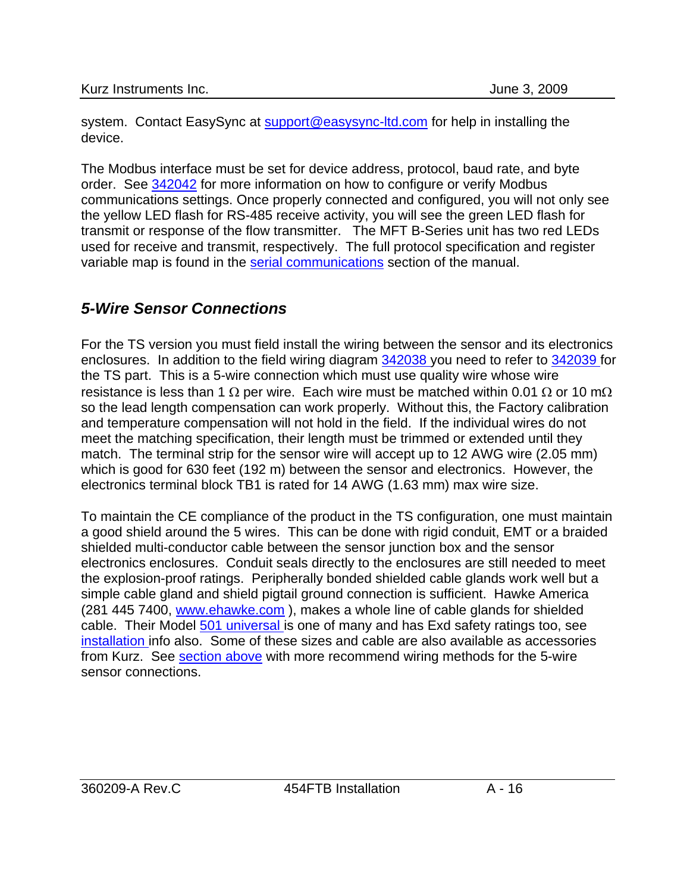system. Contact EasySync at [support@easysync-ltd.com](mailto:support@easysync-ltd.com) for help in installing the device.

The Modbus interface must be set for device address, protocol, baud rate, and byte order. See 342042 for more information on how to configure or verify Modbus communications settings. Once properly connected and configured, you will not only see the yellow LED flash for RS-485 receive activity, you will see the green LED flash for transmit or response of the flow transmitter. The MFT B-Series unit has two red LEDs used for receive and transmit, respectively. The full protocol specification and register variable map is found in the serial communications section of the manual.

# *5-Wire Sensor Connections*

For the TS version you must field install the wiring between the sensor and its electronics enclosures. In addition to the field wiring diagram 342038 you need to refer to 342039 for the TS part. This is a 5-wire connection which must use quality wire whose wire resistance is less than 1  $\Omega$  per wire. Each wire must be matched within 0.01  $\Omega$  or 10 m $\Omega$ so the lead length compensation can work properly. Without this, the Factory calibration and temperature compensation will not hold in the field. If the individual wires do not meet the matching specification, their length must be trimmed or extended until they match. The terminal strip for the sensor wire will accept up to 12 AWG wire (2.05 mm) which is good for 630 feet (192 m) between the sensor and electronics. However, the electronics terminal block TB1 is rated for 14 AWG (1.63 mm) max wire size.

To maintain the CE compliance of the product in the TS configuration, one must maintain a good shield around the 5 wires. This can be done with rigid conduit, EMT or a braided shielded multi-conductor cable between the sensor junction box and the sensor electronics enclosures. Conduit seals directly to the enclosures are still needed to meet the explosion-proof ratings. Peripherally bonded shielded cable glands work well but a simple cable gland and shield pigtail ground connection is sufficient. Hawke America (281 445 7400, [www.ehawke.com](http://www.ehawke.com/) ), makes a whole line of cable glands for shielded cable. Their Model 501 universal is one of many and has Exd safety ratings too, see installation info also. Some of these sizes and cable are also available as accessories from Kurz. See [section above](#page-7-0) with more recommend wiring methods for the 5-wire sensor connections.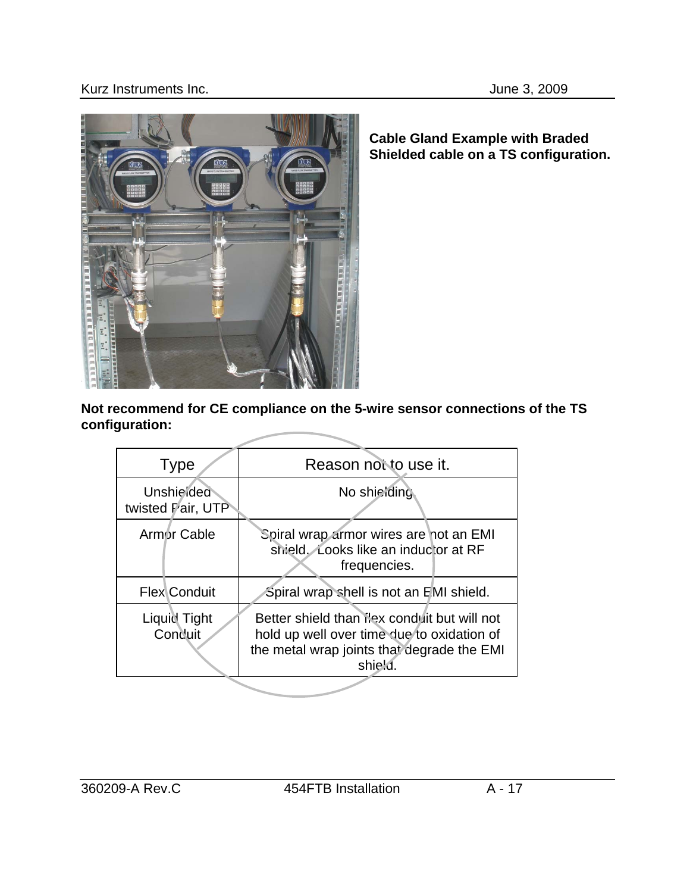

**Cable Gland Example with Braded Shielded cable on a TS configuration.** 

**Not recommend for CE compliance on the 5-wire sensor connections of the TS configuration:**

| <b>Type</b>                                                                                                                                                                   | Reason not to use it.                                                                          |  |
|-------------------------------------------------------------------------------------------------------------------------------------------------------------------------------|------------------------------------------------------------------------------------------------|--|
| Unshielded<br>twisted Pair, UTP                                                                                                                                               | No shielding                                                                                   |  |
| Armor Cable                                                                                                                                                                   | Spiral wrap armor wires are not an EMI<br>shield. Looks like an inductor at RF<br>frequencies. |  |
| <b>Flex</b> Conduit                                                                                                                                                           | Spiral wrap shell is not an EMI shield.                                                        |  |
| Liquid Tight<br>Better shield than lex conduit but will not<br>Conduit<br>hold up well over time due to oxidation of<br>the metal wrap joints that degrade the EMI<br>shield. |                                                                                                |  |
|                                                                                                                                                                               |                                                                                                |  |